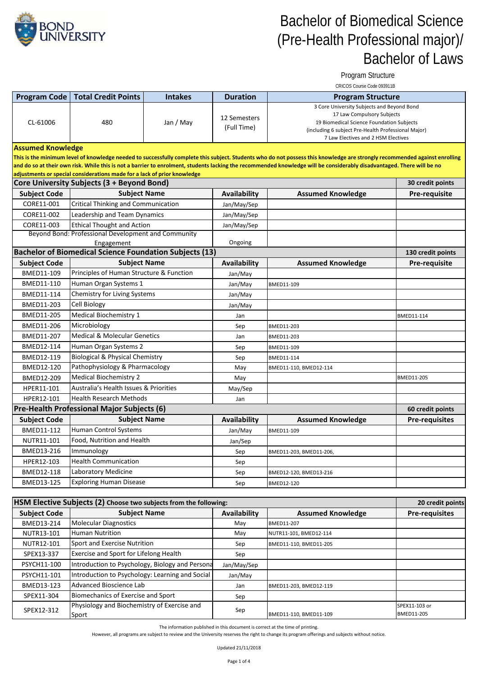

Program Structure

|                          |                                                                                                                                            |                |                             | CRICOS Course Code 093911B                                                                                                                                                                                                                                                                                                                           |                       |
|--------------------------|--------------------------------------------------------------------------------------------------------------------------------------------|----------------|-----------------------------|------------------------------------------------------------------------------------------------------------------------------------------------------------------------------------------------------------------------------------------------------------------------------------------------------------------------------------------------------|-----------------------|
|                          | <b>Program Code   Total Credit Points</b>                                                                                                  | <b>Intakes</b> | <b>Duration</b>             | <b>Program Structure</b>                                                                                                                                                                                                                                                                                                                             |                       |
| CL-61006                 | 480                                                                                                                                        | Jan / May      | 12 Semesters<br>(Full Time) | 3 Core University Subjects and Beyond Bond<br>17 Law Compulsory Subjects<br>19 Biomedical Science Foundation Subjects<br>(including 6 subject Pre-Health Professional Major)<br>7 Law Electives and 2 HSM Electives                                                                                                                                  |                       |
| <b>Assumed Knowledge</b> |                                                                                                                                            |                |                             |                                                                                                                                                                                                                                                                                                                                                      |                       |
|                          |                                                                                                                                            |                |                             | This is the minimum level of knowledge needed to successfully complete this subject. Students who do not possess this knowledge are strongly recommended against enrolling<br>and do so at their own risk. While this is not a barrier to enrolment, students lacking the recommended knowledge will be considerably disadvantaged. There will be no |                       |
|                          | adjustments or special considerations made for a lack of prior knowledge<br>30 credit points<br>Core University Subjects (3 + Beyond Bond) |                |                             |                                                                                                                                                                                                                                                                                                                                                      |                       |
| <b>Subject Code</b>      | <b>Subject Name</b>                                                                                                                        |                | Availability                | <b>Assumed Knowledge</b>                                                                                                                                                                                                                                                                                                                             | Pre-requisite         |
| CORE11-001               | <b>Critical Thinking and Communication</b>                                                                                                 |                | Jan/May/Sep                 |                                                                                                                                                                                                                                                                                                                                                      |                       |
| CORE11-002               | Leadership and Team Dynamics                                                                                                               |                | Jan/May/Sep                 |                                                                                                                                                                                                                                                                                                                                                      |                       |
| CORE11-003               | <b>Ethical Thought and Action</b>                                                                                                          |                | Jan/May/Sep                 |                                                                                                                                                                                                                                                                                                                                                      |                       |
|                          | Beyond Bond: Professional Development and Community                                                                                        |                |                             |                                                                                                                                                                                                                                                                                                                                                      |                       |
|                          | Engagement                                                                                                                                 |                | Ongoing                     |                                                                                                                                                                                                                                                                                                                                                      |                       |
|                          | <b>Bachelor of Biomedical Science Foundation Subjects (13)</b>                                                                             |                |                             |                                                                                                                                                                                                                                                                                                                                                      | 130 credit points     |
| <b>Subject Code</b>      | <b>Subject Name</b>                                                                                                                        |                | Availability                | <b>Assumed Knowledge</b>                                                                                                                                                                                                                                                                                                                             | <b>Pre-requisite</b>  |
| BMED11-109               | Principles of Human Structure & Function                                                                                                   |                | Jan/May                     |                                                                                                                                                                                                                                                                                                                                                      |                       |
| BMED11-110               | Human Organ Systems 1                                                                                                                      |                | Jan/May                     | BMED11-109                                                                                                                                                                                                                                                                                                                                           |                       |
| BMED11-114               | Chemistry for Living Systems                                                                                                               |                | Jan/May                     |                                                                                                                                                                                                                                                                                                                                                      |                       |
| BMED11-203               | Cell Biology                                                                                                                               |                | Jan/May                     |                                                                                                                                                                                                                                                                                                                                                      |                       |
| <b>BMED11-205</b>        | <b>Medical Biochemistry 1</b>                                                                                                              |                | Jan                         |                                                                                                                                                                                                                                                                                                                                                      | BMED11-114            |
| BMED11-206               | Microbiology                                                                                                                               |                | Sep                         | BMED11-203                                                                                                                                                                                                                                                                                                                                           |                       |
| BMED11-207               | <b>Medical &amp; Molecular Genetics</b>                                                                                                    |                | Jan                         | BMED11-203                                                                                                                                                                                                                                                                                                                                           |                       |
| BMED12-114               | Human Organ Systems 2                                                                                                                      |                | Sep                         | BMED11-109                                                                                                                                                                                                                                                                                                                                           |                       |
| BMED12-119               | <b>Biological &amp; Physical Chemistry</b><br>Pathophysiology & Pharmacology                                                               |                | Sep                         | BMED11-114                                                                                                                                                                                                                                                                                                                                           |                       |
| BMED12-120<br>BMED12-209 | <b>Medical Biochemistry 2</b>                                                                                                              |                | May                         | BMED11-110, BMED12-114                                                                                                                                                                                                                                                                                                                               | BMED11-205            |
| HPER11-101               | Australia's Health Issues & Priorities                                                                                                     |                | May                         |                                                                                                                                                                                                                                                                                                                                                      |                       |
| HPER12-101               | <b>Health Research Methods</b>                                                                                                             |                | May/Sep                     |                                                                                                                                                                                                                                                                                                                                                      |                       |
|                          | Pre-Health Professional Major Subjects (6)                                                                                                 |                | Jan                         |                                                                                                                                                                                                                                                                                                                                                      | 60 credit points      |
| <b>Subject Code</b>      | <b>Subject Name</b>                                                                                                                        |                | Availability                | <b>Assumed Knowledge</b>                                                                                                                                                                                                                                                                                                                             | <b>Pre-requisites</b> |
| BMED11-112               | Human Control Systems                                                                                                                      |                | Jan/May                     | BMED11-109                                                                                                                                                                                                                                                                                                                                           |                       |
| NUTR11-101               | Food, Nutrition and Health                                                                                                                 |                | Jan/Sep                     |                                                                                                                                                                                                                                                                                                                                                      |                       |
| BMED13-216               | Immunology                                                                                                                                 |                | Sep                         | BMED11-203, BMED11-206,                                                                                                                                                                                                                                                                                                                              |                       |
| HPER12-103               | <b>Health Communication</b>                                                                                                                |                | Sep                         |                                                                                                                                                                                                                                                                                                                                                      |                       |
| BMED12-118               | Laboratory Medicine                                                                                                                        |                | Sep                         | BMED12-120, BMED13-216                                                                                                                                                                                                                                                                                                                               |                       |
| BMED13-125               | <b>Exploring Human Disease</b>                                                                                                             |                | Sep                         | BMED12-120                                                                                                                                                                                                                                                                                                                                           |                       |

| HSM Elective Subjects (2) Choose two subjects from the following: |                                                      |              |                          | 20 credit points            |
|-------------------------------------------------------------------|------------------------------------------------------|--------------|--------------------------|-----------------------------|
| <b>Subject Code</b>                                               | <b>Subject Name</b>                                  | Availability | <b>Assumed Knowledge</b> | <b>Pre-requisites</b>       |
| BMED13-214                                                        | <b>Molecular Diagnostics</b>                         | May          | BMED11-207               |                             |
| NUTR13-101                                                        | <b>Human Nutrition</b>                               | May          | NUTR11-101, BMED12-114   |                             |
| NUTR12-101                                                        | Sport and Exercise Nutrition                         | Sep          | BMED11-110, BMED11-205   |                             |
| SPEX13-337                                                        | Exercise and Sport for Lifelong Health               | Sep          |                          |                             |
| PSYCH11-100                                                       | Introduction to Psychology, Biology and Persona      | Jan/May/Sep  |                          |                             |
| PSYCH11-101                                                       | Introduction to Psychology: Learning and Social      | Jan/May      |                          |                             |
| BMED13-123                                                        | Advanced Bioscience Lab                              | Jan          | BMED11-203, BMED12-119   |                             |
| SPEX11-304                                                        | Biomechanics of Exercise and Sport                   | Sep          |                          |                             |
| SPEX12-312                                                        | Physiology and Biochemistry of Exercise and<br>Sport | Sep          | BMED11-110, BMED11-109   | SPEX11-103 or<br>BMED11-205 |

The information published in this document is correct at the time of printing.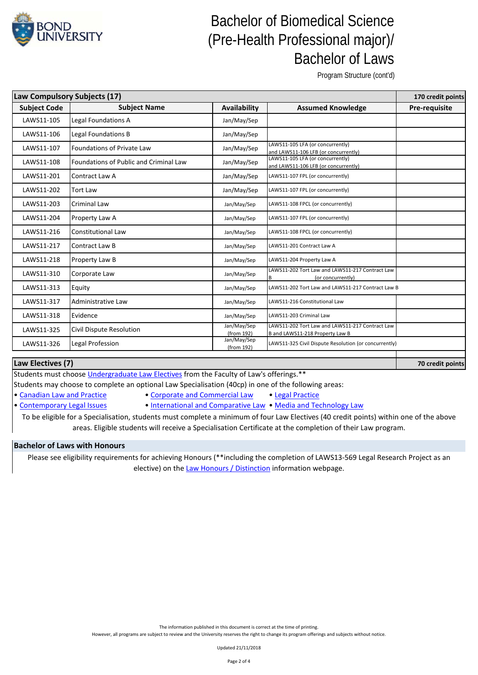

Program Structure (cont'd)

**70 credit points**

| Law Compulsory Subjects (17) |                                               |                           |                                                                                    | 170 credit points |
|------------------------------|-----------------------------------------------|---------------------------|------------------------------------------------------------------------------------|-------------------|
| <b>Subject Code</b>          | <b>Subject Name</b>                           | Availability              | <b>Assumed Knowledge</b>                                                           | Pre-requisite     |
| LAWS11-105                   | Legal Foundations A                           | Jan/May/Sep               |                                                                                    |                   |
| LAWS11-106                   | Legal Foundations B                           | Jan/May/Sep               |                                                                                    |                   |
| LAWS11-107                   | <b>Foundations of Private Law</b>             | Jan/May/Sep               | LAWS11-105 LFA (or concurrently)<br>and LAWS11-106 LFB (or concurrently)           |                   |
| LAWS11-108                   | <b>Foundations of Public and Criminal Law</b> | Jan/May/Sep               | LAWS11-105 LFA (or concurrently)<br>and LAWS11-106 LFB (or concurrently)           |                   |
| LAWS11-201                   | Contract Law A                                | Jan/May/Sep               | LAWS11-107 FPL (or concurrently)                                                   |                   |
| LAWS11-202                   | <b>Tort Law</b>                               | Jan/May/Sep               | LAWS11-107 FPL (or concurrently)                                                   |                   |
| LAWS11-203                   | <b>Criminal Law</b>                           | Jan/May/Sep               | LAWS11-108 FPCL (or concurrently)                                                  |                   |
| LAWS11-204                   | Property Law A                                | Jan/May/Sep               | LAWS11-107 FPL (or concurrently)                                                   |                   |
| LAWS11-216                   | <b>Constitutional Law</b>                     | Jan/May/Sep               | LAWS11-108 FPCL (or concurrently)                                                  |                   |
| LAWS11-217                   | Contract Law B                                | Jan/May/Sep               | LAWS11-201 Contract Law A                                                          |                   |
| LAWS11-218                   | Property Law B                                | Jan/May/Sep               | LAWS11-204 Property Law A                                                          |                   |
| LAWS11-310                   | Corporate Law                                 | Jan/May/Sep               | LAWS11-202 Tort Law and LAWS11-217 Contract Law<br>R<br>(or concurrently)          |                   |
| LAWS11-313                   | Equity                                        | Jan/May/Sep               | LAWS11-202 Tort Law and LAWS11-217 Contract Law B                                  |                   |
| LAWS11-317                   | Administrative Law                            | Jan/May/Sep               | LAWS11-216 Constitutional Law                                                      |                   |
| LAWS11-318                   | Evidence                                      | Jan/May/Sep               | LAWS11-203 Criminal Law                                                            |                   |
| LAWS11-325                   | Civil Dispute Resolution                      | Jan/May/Sep<br>(from 192) | LAWS11-202 Tort Law and LAWS11-217 Contract Law<br>B and LAWS11-218 Property Law B |                   |
| LAWS11-326                   | Legal Profession                              | Jan/May/Sep<br>(from 192) | LAWS11-325 Civil Dispute Resolution (or concurrently)                              |                   |

### **Law Electives (7)**

Students must choose *Undergraduate Law Electives* from the Faculty of Law's offerings.\*\*

Students may choose to complete an optional Law Specialisation (40cp) in one of the following areas:

- [•](http://bond.edu.au/subjects/current-law-specialisations-undergraduate) [Canadian Law and Practice](http://bond.edu.au/subjects/current-law-specialisations-undergraduate) [Corporate and Commercial Law](http://bond.edu.au/subjects/current-law-specialisations-undergraduate)  [Legal Practice](http://bond.edu.au/subjects/current-law-specialisations-undergraduate)
	- -

[•](http://bond.edu.au/subjects/current-law-specialisations-undergraduate) [Contemporary Legal Issues](http://bond.edu.au/subjects/current-law-specialisations-undergraduate) • [International and Comparative Law](http://bond.edu.au/subjects/current-law-specialisations-undergraduate) [• Media and Technology Law](http://bond.edu.au/subjects/current-law-specialisations-undergraduate) To be eligible for a Specialisation, students must complete a minimum of four Law Electives (40 credit points) within one of the above

areas. Eligible students will receive a Specialisation Certificate at the completion of their Law program.

#### **Bachelor of Laws with Honours**

[Please see eli](https://bond.edu.au/law-honours-distinction-information)gibility requirements for achieving Honours (\*\*including the completion of LAWS13-569 Legal Research Project as an [elective\) on the Law Honours / Distinction](https://bond.edu.au/law-honours-distinction-information) information webpage.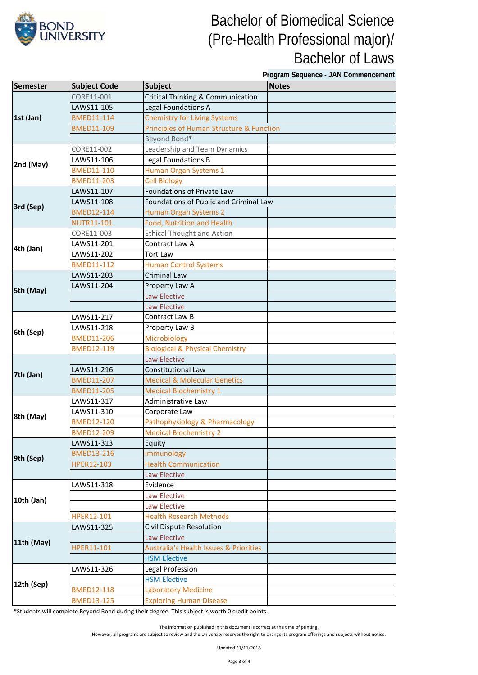

**Program Sequence - JAN Commencement**

| <b>Semester</b> | <b>Subject Code</b> | <b>Subject</b>                                    | <b>Notes</b> |
|-----------------|---------------------|---------------------------------------------------|--------------|
| 1st (Jan)       | CORE11-001          | <b>Critical Thinking &amp; Communication</b>      |              |
|                 | LAWS11-105          | Legal Foundations A                               |              |
|                 | <b>BMED11-114</b>   | <b>Chemistry for Living Systems</b>               |              |
|                 | <b>BMED11-109</b>   | Principles of Human Structure & Function          |              |
|                 |                     | Beyond Bond*                                      |              |
| 2nd (May)       | CORE11-002          | Leadership and Team Dynamics                      |              |
|                 | LAWS11-106          | Legal Foundations B                               |              |
|                 | <b>BMED11-110</b>   | Human Organ Systems 1                             |              |
|                 | <b>BMED11-203</b>   | <b>Cell Biology</b>                               |              |
|                 | LAWS11-107          | Foundations of Private Law                        |              |
| 3rd (Sep)       | LAWS11-108          | Foundations of Public and Criminal Law            |              |
|                 | <b>BMED12-114</b>   | Human Organ Systems 2                             |              |
|                 | <b>NUTR11-101</b>   | Food, Nutrition and Health                        |              |
|                 | CORE11-003          | <b>Ethical Thought and Action</b>                 |              |
| 4th (Jan)       | LAWS11-201          | Contract Law A                                    |              |
|                 | LAWS11-202          | <b>Tort Law</b>                                   |              |
|                 | <b>BMED11-112</b>   | <b>Human Control Systems</b>                      |              |
|                 | LAWS11-203          | Criminal Law                                      |              |
| 5th (May)       | LAWS11-204          | Property Law A                                    |              |
|                 |                     | Law Elective                                      |              |
|                 |                     | <b>Law Elective</b>                               |              |
|                 | LAWS11-217          | Contract Law B                                    |              |
| 6th (Sep)       | LAWS11-218          | Property Law B                                    |              |
|                 | <b>BMED11-206</b>   | Microbiology                                      |              |
|                 | <b>BMED12-119</b>   | <b>Biological &amp; Physical Chemistry</b>        |              |
|                 |                     | <b>Law Elective</b>                               |              |
| 7th (Jan)       | LAWS11-216          | <b>Constitutional Law</b>                         |              |
|                 | <b>BMED11-207</b>   | <b>Medical &amp; Molecular Genetics</b>           |              |
|                 | <b>BMED11-205</b>   | <b>Medical Biochemistry 1</b>                     |              |
|                 | LAWS11-317          | Administrative Law                                |              |
| 8th (May)       | LAWS11-310          | Corporate Law                                     |              |
|                 | <b>BMED12-120</b>   | Pathophysiology & Pharmacology                    |              |
|                 | <b>BMED12-209</b>   | <b>Medical Biochemistry 2</b>                     |              |
|                 | LAWS11-313          | Equity                                            |              |
| 9th (Sep)       | <b>BMED13-216</b>   | Immunology                                        |              |
|                 | HPER12-103          | <b>Health Communication</b>                       |              |
|                 |                     | Law Elective                                      |              |
|                 | LAWS11-318          | Evidence                                          |              |
| 10th (Jan)      |                     | Law Elective                                      |              |
|                 |                     | Law Elective                                      |              |
|                 | HPER12-101          | <b>Health Research Methods</b>                    |              |
| 11th (May)      | LAWS11-325          | Civil Dispute Resolution                          |              |
|                 |                     | <b>Law Elective</b>                               |              |
|                 | HPER11-101          | <b>Australia's Health Issues &amp; Priorities</b> |              |
|                 |                     | <b>HSM Elective</b>                               |              |
| 12th (Sep)      | LAWS11-326          | Legal Profession                                  |              |
|                 |                     | <b>HSM Elective</b>                               |              |
|                 | <b>BMED12-118</b>   | <b>Laboratory Medicine</b>                        |              |
|                 | <b>BMED13-125</b>   | <b>Exploring Human Disease</b>                    |              |

\*Students will complete Beyond Bond during their degree. This subject is worth 0 credit points.

The information published in this document is correct at the time of printing.